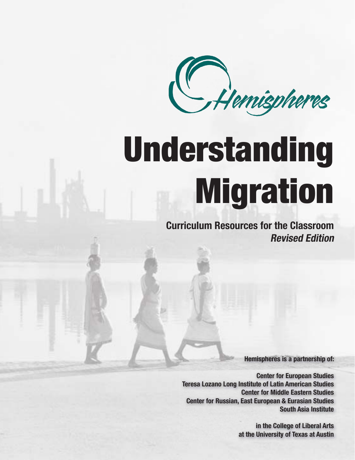C. Hemispheres

# Understanding Migration

**Curriculum Resources for the Classroom Revised Edition**

**Hemispheres is a partnership of:**

**Center for European Studies Teresa Lozano Long Institute of Latin American Studies Center for Middle Eastern Studies Center for Russian, East European & Eurasian Studies South Asia Institute**

> **in the College of Liberal Arts at the University of Texas at Austin**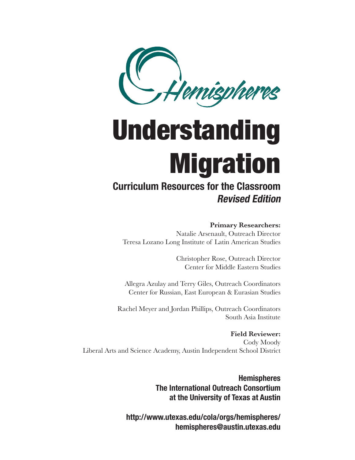

## Understanding Migration

### **Curriculum Resources for the Classroom Revised Edition**

#### **Primary Researchers:**

Natalie Arsenault, Outreach Director Teresa Lozano Long Institute of Latin American Studies

> Christopher Rose, Outreach Director Center for Middle Eastern Studies

Allegra Azulay and Terry Giles, Outreach Coordinators Center for Russian, East European & Eurasian Studies

Rachel Meyer and Jordan Phillips, Outreach Coordinators South Asia Institute

**Field Reviewer:** Cody Moody Liberal Arts and Science Academy, Austin Independent School District

> **Hemispheres The International Outreach Consortium at the University of Texas at Austin**

**http://www.utexas.edu/cola/orgs/hemispheres/ hemispheres@austin.utexas.edu**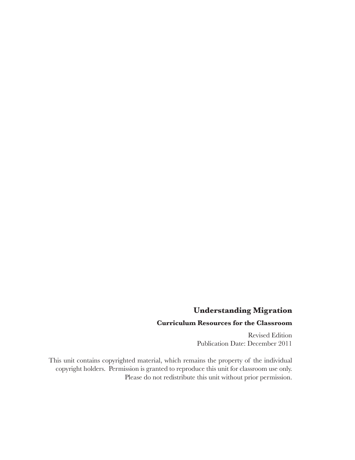#### **Understanding Migration**

#### **Curriculum Resources for the Classroom**

Revised Edition Publication Date: December 2011

This unit contains copyrighted material, which remains the property of the individual copyright holders. Permission is granted to reproduce this unit for classroom use only. Please do not redistribute this unit without prior permission.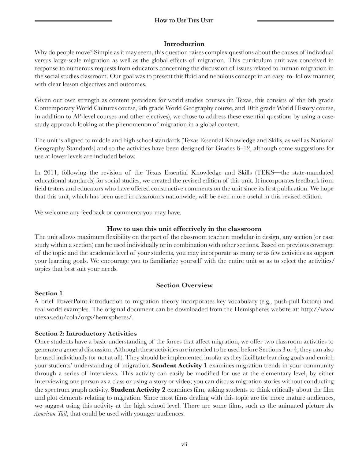#### **HOW TO USE THIS UNIT**

#### **Introduction**

Why do people move? Simple as it may seem, this question raises complex questions about the causes of individual versus large-scale migration as well as the global effects of migration. This curriculum unit was conceived in response to numerous requests from educators concerning the discussion of issues related to human migration in the social studies classroom. Our goal was to present this fluid and nebulous concept in an easy–to–follow manner, with clear lesson objectives and outcomes.

Given our own strength as content providers for world studies courses (in Texas, this consists of the 6th grade Contemporary World Cultures course, 9th grade World Geography course, and 10th grade World History course, in addition to AP-level courses and other electives), we chose to address these essential questions by using a casestudy approach looking at the phenomenon of migration in a global context.

The unit is aligned to middle and high school standards (Texas Essential Knowledge and Skills, as well as National Geography Standards) and so the activities have been designed for Grades 6–12, although some suggestions for use at lower levels are included below.

In 2011, following the revision of the Texas Essential Knowledge and Skills (TEKS—the state-mandated educational standards) for social studies, we created the revised edition of this unit. It incorporates feedback from field testers and educators who have offered constructive comments on the unit since its first publication. We hope that this unit, which has been used in classrooms nationwide, will be even more useful in this revised edition.

We welcome any feedback or comments you may have.

#### **How to use this unit effectively in the classroom**

The unit allows maximum flexibility on the part of the classroom teacher: modular in design, any section (or case study within a section) can be used individually or in combination with other sections. Based on previous coverage of the topic and the academic level of your students, you may incorporate as many or as few activities as support your learning goals. We encourage you to familiarize yourself with the entire unit so as to select the activities/ topics that best suit your needs.

#### **Section Overview**

#### **Section 1**

A brief PowerPoint introduction to migration theory incorporates key vocabulary (e.g., push-pull factors) and real world examples. The original document can be downloaded from the Hemispheres website at: http://www. utexas.edu/cola/orgs/hemispheres/.

#### **Section 2: Introductory Activities**

Once students have a basic understanding of the forces that affect migration, we offer two classroom activities to generate a general discussion. Although these activities are intended to be used before Sections 3 or 4, they can also be used individually (or not at all). They should be implemented insofar as they facilitate learning goals and enrich your students' understanding of migration. **Student Activity 1** examines migration trends in your community through a series of interviews. This activity can easily be modified for use at the elementary level, by either interviewing one person as a class or using a story or video; you can discuss migration stories without conducting the spectrum graph activity. **Student Activity 2** examines film, asking students to think critically about the film and plot elements relating to migration. Since most films dealing with this topic are for more mature audiences, we suggest using this activity at the high school level. There are some films, such as the animated picture  $An$ *American Tail*, that could be used with younger audiences.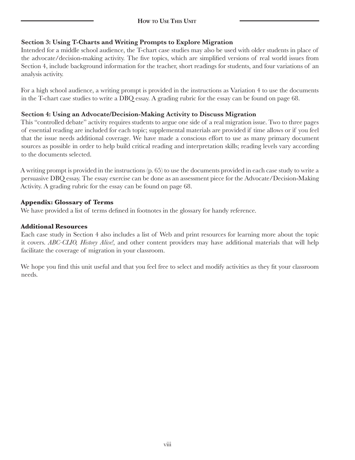#### **Section 3: Using T-Charts and Writing Prompts to Explore Migration**

Intended for a middle school audience, the T-chart case studies may also be used with older students in place of the advocate/decision-making activity. The five topics, which are simplified versions of real world issues from Section 4, include background information for the teacher, short readings for students, and four variations of an analysis activity.

For a high school audience, a writing prompt is provided in the instructions as Variation 4 to use the documents in the T-chart case studies to write a DBQ essay. A grading rubric for the essay can be found on page 68.

#### **Section 4: Using an Advocate/Decision-Making Activity to Discuss Migration**

This "controlled debate" activity requires students to argue one side of a real migration issue. Two to three pages of essential reading are included for each topic; supplemental materials are provided if time allows or if you feel that the issue needs additional coverage. We have made a conscious effort to use as many primary document sources as possible in order to help build critical reading and interpretation skills; reading levels vary according to the documents selected.

A writing prompt is provided in the instructions (p. 65) to use the documents provided in each case study to write a persuasive DBQ essay. The essay exercise can be done as an assessment piece for the Advocate/Decision-Making Activity. A grading rubric for the essay can be found on page 68.

#### **Appendix: Glossary of Terms**

We have provided a list of terms defined in footnotes in the glossary for handy reference.

#### **Additional Resources**

Each case study in Section 4 also includes a list of Web and print resources for learning more about the topic it covers. *ABC-CLIO, History Alive!*, and other content providers may have additional materials that will help facilitate the coverage of migration in your classroom.

We hope you find this unit useful and that you feel free to select and modify activities as they fit your classroom needs.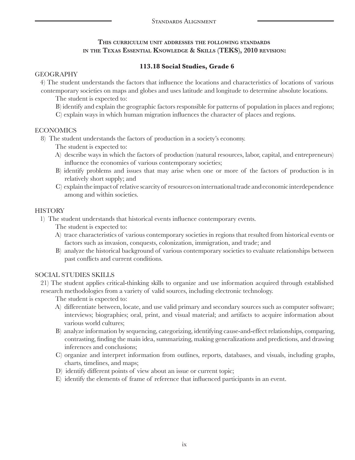#### **THIS CURRICULUM UNIT ADDRESSES THE FOLLOWING STANDARDS IN THE TEXAS ESSENTIAL KNOWLEDGE & SKILLS (TEKS), 2010 REVISION:**

#### **113.18 Social Studies, Grade 6**

#### GEOGRAPHY

4) The student understands the factors that influence the locations and characteristics of locations of various contemporary societies on maps and globes and uses latitude and longitude to determine absolute locations.

The student is expected to:

B) identify and explain the geographic factors responsible for patterns of population in places and regions;

C) explain ways in which human migration influences the character of places and regions.

#### **ECONOMICS**

8) The student understands the factors of production in a society's economy.

The student is expected to:

- A) describe ways in which the factors of production (natural resources, labor, capital, and entrepreneurs) influence the economies of various contemporary societies;
- B) identify problems and issues that may arise when one or more of the factors of production is in relatively short supply; and
- C) explain the impact of relative scarcity of resources on international trade and economic interdependence among and within societies.

#### **HISTORY**

1) The student understands that historical events influence contemporary events.

The student is expected to:

- A) trace characteristics of various contemporary societies in regions that resulted from historical events or factors such as invasion, conquests, colonization, immigration, and trade; and
- B) analyze the historical background of various contemporary societies to evaluate relationships between past conflicts and current conditions.

#### SOCIAL STUDIES SKILLS

21) The student applies critical-thinking skills to organize and use information acquired through established research methodologies from a variety of valid sources, including electronic technology.

The student is expected to:

- A) differentiate between, locate, and use valid primary and secondary sources such as computer software; interviews; biographies; oral, print, and visual material; and artifacts to acquire information about various world cultures;
- B) analyze information by sequencing, categorizing, identifying cause-and-effect relationships, comparing, contrasting, finding the main idea, summarizing, making generalizations and predictions, and drawing inferences and conclusions;
- C) organize and interpret information from outlines, reports, databases, and visuals, including graphs, charts, timelines, and maps;
- D) identify different points of view about an issue or current topic;
- D) identify different points of view about an issue or current topic;<br>
E) identify the elements of frame of reference that influenced participants in an event.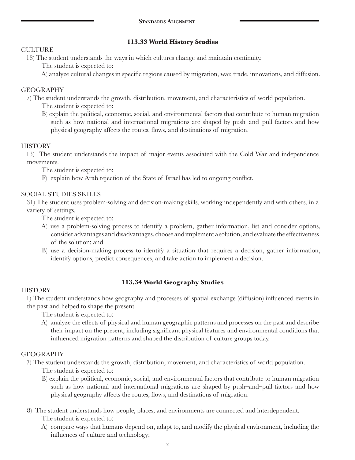#### **113.33 World History Studies**

#### **CULTURE**

18) The student understands the ways in which cultures change and maintain continuity.

The student is expected to:

A) analyze cultural changes in specific regions caused by migration, war, trade, innovations, and diffusion.

#### **GEOGRAPHY**

- 7) The student understands the growth, distribution, movement, and characteristics of world population. The student is expected to:
	- B) explain the political, economic, social, and environmental factors that contribute to human migration such as how national and international migrations are shaped by push–and–pull factors and how physical geography affects the routes, flows, and destinations of migration.

#### **HISTORY**

13) The student understands the impact of major events associated with the Cold War and independence movements.

The student is expected to:

F) explain how Arab rejection of the State of Israel has led to ongoing conflict.

#### SOCIAL STUDIES SKILLS

31) The student uses problem-solving and decision-making skills, working independently and with others, in a variety of settings.

The student is expected to:

- A) use a problem-solving process to identify a problem, gather information, list and consider options, consider advantages and disadvantages, choose and implement a solution, and evaluate the effectiveness of the solution; and
- B) use a decision-making process to identify a situation that requires a decision, gather information, identify options, predict consequences, and take action to implement a decision.

#### **113.34 World Geography Studies**

#### **HISTORY**

1) The student understands how geography and processes of spatial exchange (diffusion) influenced events in the past and helped to shape the present.

- The student is expected to:
- A) analyze the effects of physical and human geographic patterns and processes on the past and describe their impact on the present, including significant physical features and environmental conditions that influenced migration patterns and shaped the distribution of culture groups today.

#### **GEOGRAPHY**

7) The student understands the growth, distribution, movement, and characteristics of world population.

- The student is expected to:
- B) explain the political, economic, social, and environmental factors that contribute to human migration such as how national and international migrations are shaped by push–and–pull factors and how physical geography affects the routes, flows, and destinations of migration.
- 8) The student understands how people, places, and environments are connected and interdependent. The student is expected to:
	- A) compare ways that humans depend on, adapt to, and modify the physical environment, including the influences of culture and technology;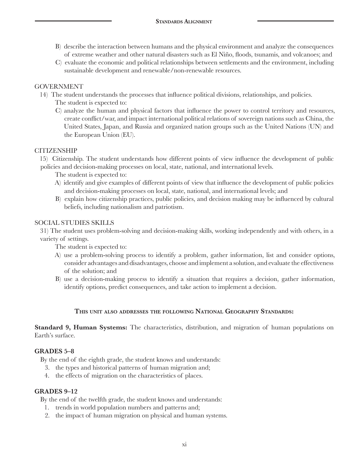- B) describe the interaction between humans and the physical environment and analyze the consequences of extreme weather and other natural disasters such as El Niño, floods, tsunamis, and volcanoes; and
- C) evaluate the economic and political relationships between settlements and the environment, including sustainable development and renewable/non-renewable resources.

#### GOVERNMENT

- 14) The student understands the processes that influence political divisions, relationships, and policies. The student is expected to:
	- C) analyze the human and physical factors that influence the power to control territory and resources, create conflict/war, and impact international political relations of sovereign nations such as China, the United States, Japan, and Russia and organized nation groups such as the United Nations (UN) and the European Union (EU).

#### **CITIZENSHIP**

15) Citizenship. The student understands how different points of view influence the development of public policies and decision-making processes on local, state, national, and international levels.

The student is expected to:

- A) identify and give examples of different points of view that influence the development of public policies and decision-making processes on local, state, national, and international levels; and
- B) explain how citizenship practices, public policies, and decision making may be influenced by cultural beliefs, including nationalism and patriotism.

#### SOCIAL STUDIES SKILLS

31) The student uses problem-solving and decision-making skills, working independently and with others, in a variety of settings.

The student is expected to:

- A) use a problem-solving process to identify a problem, gather information, list and consider options, consider advantages and disadvantages, choose and implement a solution, and evaluate the effectiveness of the solution; and
- B) use a decision-making process to identify a situation that requires a decision, gather information, identify options, predict consequences, and take action to implement a decision.

#### **THIS UNIT ALSO ADDRESSES THE FOLLOWING NATIONAL GEOGRAPHY STANDARDS:**

**Standard 9, Human Systems:** The characteristics, distribution, and migration of human populations on Earth's surface.

#### **GRADES 5–8**

By the end of the eighth grade, the student knows and understands:

- 3. the types and historical patterns of human migration and;
- 4. the effects of migration on the characteristics of places.

#### **GRADES 9–12**

By the end of the twelfth grade, the student knows and understands:

- 1. trends in world population numbers and patterns and;
- 2. the impact of human migration on physical and human systems.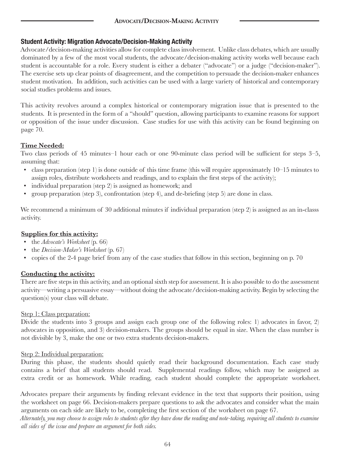#### **Student Activity: Migration Advocate/Decision-Making Activity**

Advocate/decision-making activities allow for complete class involvement. Unlike class debates, which are usually dominated by a few of the most vocal students, the advocate/decision-making activity works well because each student is accountable for a role. Every student is either a debater ("advocate") or a judge ("decision-maker"). The exercise sets up clear points of disagreement, and the competition to persuade the decision-maker enhances student motivation. In addition, such activities can be used with a large variety of historical and contemporary social studies problems and issues.

This activity revolves around a complex historical or contemporary migration issue that is presented to the students. It is presented in the form of a "should" question, allowing participants to examine reasons for support or opposition of the issue under discussion. Case studies for use with this activity can be found beginning on page 70.

#### **Time Needed:**

Two class periods of 45 minutes–1 hour each or one 90-minute class period will be sufficient for steps  $3-5$ , assuming that:

- class preparation (step 1) is done outside of this time frame (this will require approximately 10–15 minutes to assign roles, distribute worksheets and readings, and to explain the first steps of the activity);
- individual preparation (step 2) is assigned as homework; and
- group preparation (step 3), confrontation (step 4), and de-briefing (step 5) are done in class.

We recommend a minimum of 30 additional minutes if individual preparation (step 2) is assigned as an in-classs activity.

#### **Supplies for this activity:**

- the *Advocate's Worksheet* (p. 66)
- the *Decision-Maker's Worksheet* (p. 67)
- copies of the 2-4 page brief from any of the case studies that follow in this section, beginning on p. 70

#### **Conducting the activity:**

There are five steps in this activity, and an optional sixth step for assessment. It is also possible to do the assessment activity—writing a persuasive essay—without doing the advocate/decision-making activity. Begin by selecting the question(s) your class will debate.

#### Step 1: Class preparation:

Divide the students into 3 groups and assign each group one of the following roles: 1) advocates in favor, 2) advocates in opposition, and 3) decision-makers. The groups should be equal in size. When the class number is not divisible by 3, make the one or two extra students decision-makers.

#### Step 2: Individual preparation:

During this phase, the students should quietly read their background documentation. Each case study contains a brief that all students should read. Supplemental readings follow, which may be assigned as extra credit or as homework. While reading, each student should complete the appropriate worksheet.

Advocates prepare their arguments by finding relevant evidence in the text that supports their position, using the worksheet on page 66. Decision-makers prepare questions to ask the advocates and consider what the main arguments on each side are likely to be, completing the first section of the worksheet on page 67.

*Alternately, you may choose to assign roles to students after they have done the reading and note-taking, requiring all students to examine all sides of the issue and prepare an argument for both sides.*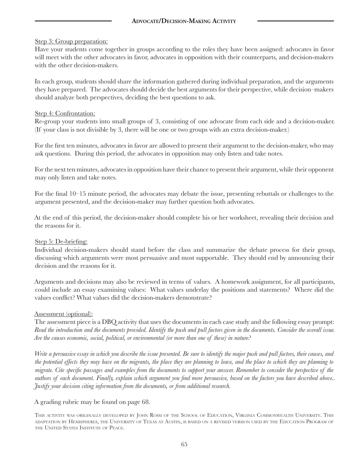#### Step 3: Group preparation:

Have your students come together in groups according to the roles they have been assigned: advocates in favor will meet with the other advocates in favor, advocates in opposition with their counterparts, and decision-makers with the other decision-makers.

In each group, students should share the information gathered during individual preparation, and the arguments they have prepared. The advocates should decide the best arguments for their perspective, while decision–makers should analyze both perspectives, deciding the best questions to ask.

#### Step 4: Confrontation:

Re-group your students into small groups of 3, consisting of one advocate from each side and a decision-maker. (If your class is not divisible by 3, there will be one or two groups with an extra decision-maker.)

For the first ten minutes, advocates in favor are allowed to present their argument to the decision-maker, who may ask questions. During this period, the advocates in opposition may only listen and take notes.

For the next ten minutes, advocates in opposition have their chance to present their argument, while their opponent may only listen and take notes.

For the final 10–15 minute period, the advocates may debate the issue, presenting rebuttals or challenges to the argument presented, and the decision-maker may further question both advocates.

At the end of this period, the decision-maker should complete his or her worksheet, revealing their decision and the reasons for it.

#### Step 5: De-briefing:

Individual decision-makers should stand before the class and summarize the debate process for their group, discussing which arguments were most persuasive and most supportable. They should end by announcing their decision and the reasons for it.

Arguments and decisions may also be reviewed in terms of values. A homework assignment, for all participants, could include an essay examining values: What values underlay the positions and statements? Where did the values conflict? What values did the decision-makers demonstrate?

#### Assessment (optional):

The assessment piece is a DBQ activity that uses the documents in each case study and the following essay prompt: *Read the introduction and the documents provided. Identify the push and pull factors given in the documents. Consider the overall issue. Are the causes economic, social, political, or environmental (or more than one of these) in nature?* 

*Write a persuasive essay in which you describe the issue presented. Be sure to identify the major push and pull factors, their causes, and the potential effects they may have on the migrants, the place they are planning to leave, and the place to which they are planning to migrate. Cite specific passages and examples from the documents to support your answer. Remember to consider the perspective of the authors of each document. Finally, explain which argument you find more persuasive, based on the factors you have described above.. Justify your decision citing information from the documents, or from additional research.*

#### A grading rubric may be found on page 68.

THIS ACTIVITY WAS ORIGINALLY DEVELOPED BY JOHN ROSSI OF THE SCHOOL OF EDUCATION, VIRGINIA COMMONWEALTH UNIVERSITY. THIS ADAPTATION BY HEMISPHERES, THE UNIVERSITY OF TEXAS AT AUSTIN, IS BASED ON <sup>A</sup> REVISED VERSION USED BY THE EDUCATION PROGRAM OF THE UNITED STATES INSTITUTE OF PEACE.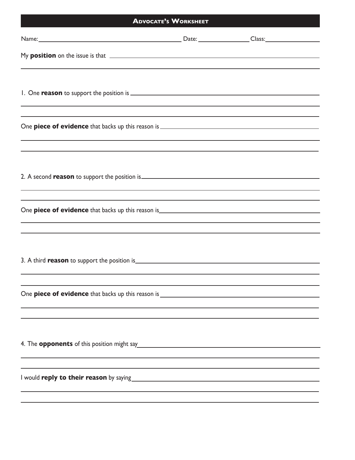| <b>ADVOCATE'S WORKSHEET</b>                                                                                                                                                                                                               |  |  |  |  |  |  |
|-------------------------------------------------------------------------------------------------------------------------------------------------------------------------------------------------------------------------------------------|--|--|--|--|--|--|
|                                                                                                                                                                                                                                           |  |  |  |  |  |  |
|                                                                                                                                                                                                                                           |  |  |  |  |  |  |
|                                                                                                                                                                                                                                           |  |  |  |  |  |  |
|                                                                                                                                                                                                                                           |  |  |  |  |  |  |
|                                                                                                                                                                                                                                           |  |  |  |  |  |  |
|                                                                                                                                                                                                                                           |  |  |  |  |  |  |
|                                                                                                                                                                                                                                           |  |  |  |  |  |  |
|                                                                                                                                                                                                                                           |  |  |  |  |  |  |
| 2. A second <b>reason</b> to support the position is. <b>Example 2. A second reason is a set of the set of the set of the set of the set of the set of the set of the set of the set of the set of the set of the set of the set of t</b> |  |  |  |  |  |  |
|                                                                                                                                                                                                                                           |  |  |  |  |  |  |
|                                                                                                                                                                                                                                           |  |  |  |  |  |  |
|                                                                                                                                                                                                                                           |  |  |  |  |  |  |
|                                                                                                                                                                                                                                           |  |  |  |  |  |  |
|                                                                                                                                                                                                                                           |  |  |  |  |  |  |
|                                                                                                                                                                                                                                           |  |  |  |  |  |  |
|                                                                                                                                                                                                                                           |  |  |  |  |  |  |
|                                                                                                                                                                                                                                           |  |  |  |  |  |  |
|                                                                                                                                                                                                                                           |  |  |  |  |  |  |
|                                                                                                                                                                                                                                           |  |  |  |  |  |  |
|                                                                                                                                                                                                                                           |  |  |  |  |  |  |
|                                                                                                                                                                                                                                           |  |  |  |  |  |  |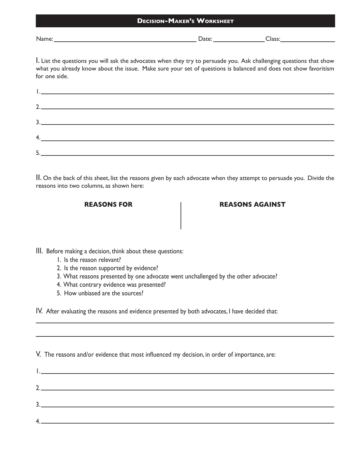#### **DECISION-MAKER'S WORKSHEET**

Name: Class: Class: Class: Class: Class: Class: Class: Class: Class: Class: Class: Class: Class: Class: Class: Class: Class: Class: Class: Class: Class: Class: Class: Class: Class: Class: Class: Class: Class: Class: Class:

I. List the questions you will ask the advocates when they try to persuade you. Ask challenging questions that show what you already know about the issue. Make sure your set of questions is balanced and does not show favoritism for one side.

|    | $\mathbf{I}_{1}$ , and the contract of the contract of the contract of the contract of the contract of the contract of the contract of the contract of the contract of the contract of the contract of the contract of the contract |  |  |
|----|-------------------------------------------------------------------------------------------------------------------------------------------------------------------------------------------------------------------------------------|--|--|
|    |                                                                                                                                                                                                                                     |  |  |
|    | 3.                                                                                                                                                                                                                                  |  |  |
|    |                                                                                                                                                                                                                                     |  |  |
| 5. |                                                                                                                                                                                                                                     |  |  |

II. On the back of this sheet, list the reasons given by each advocate when they attempt to persuade you. Divide the reasons into two columns, as shown here:

**REASONS FOR THE REASONS AGAINST** 

- III. Before making a decision, think about these questions:
	- 1. Is the reason relevant?
	- 2. Is the reason supported by evidence?
	- 3. What reasons presented by one advocate went unchallenged by the other advocate?
	- 4. What contrary evidence was presented?
	- 5. How unbiased are the sources?

IV. After evaluating the reasons and evidence presented by both advocates, I have decided that:

| V. The reasons and/or evidence that most influenced my decision, in order of importance, are: |
|-----------------------------------------------------------------------------------------------|
|                                                                                               |
| 2. $\overline{\phantom{a}}$                                                                   |
| 3.                                                                                            |
|                                                                                               |
|                                                                                               |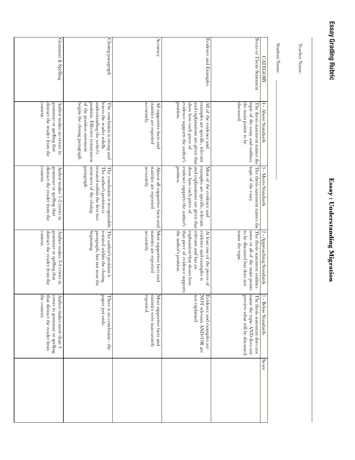Teacher Name: Teacher Name:

Student Name: Student Name:

 $\mathcal{L}_\text{max}$ 

| Focus or Thesis Statement<br><b>CATEGORY</b> | discussed.<br>4 - Above Standards<br>the main points to be<br>topic of the essay and outlines<br>The thesis statement names the                                                                                            | topic of the essay.<br>The thesis statement names the The thesis statement outlines<br>3 - Meets Standards                             | some or all of the main points<br>name the topic.<br>2 - Approaching Standards<br>to be discussed but does not                                       | name the topic AND does not<br>preview what will be discussed.<br>The thesis statement does not<br>1 - Below Standards | Score |
|----------------------------------------------|----------------------------------------------------------------------------------------------------------------------------------------------------------------------------------------------------------------------------|----------------------------------------------------------------------------------------------------------------------------------------|------------------------------------------------------------------------------------------------------------------------------------------------------|------------------------------------------------------------------------------------------------------------------------|-------|
| Evidence and Examples                        | show how each piece of<br>position.<br>evidence supports the author's<br>and explanations are given that and explanations are given that relevant and has an<br>examples are specific, relevant<br>All of the evidence and | examples are specific, relevant<br>evidence supports the author's<br>show how each piece of<br>position.<br>Most of the evidence and   | evidence and examples is<br>that piece of evidence supports<br>the author's position.<br>At least one of the pieces of<br>explanation that shows how | not explained.<br>z<br>Evidence and examples are<br>OT relevant AND/OR are                                             |       |
| Accuracy                                     | accurately.<br>statistics are reported<br>All supportive facts and                                                                                                                                                         | statistics are reported<br>accurately.<br>Almost all supportive facts and                                                              | Most supportive facts and<br>accurately.<br>statistics are reported                                                                                  | statistics were inaccurately<br>$\overline{\mathbf{N}}$<br>reported.<br>ost supportive facts and                       |       |
| Closing paragraph                            | begins the closing paragraph.<br>of the position statement<br>understanding the writer's<br>position. Effective restatement<br>leaves the reader solidly<br>The conclusion is strong and                                   | sentences of the closing<br>paragraph.<br>restated within the first two<br>The author's position is<br>The conclusion is recognizable. | The author's position is<br>beginning.<br>paragraph, but not near the<br>restated within the closing                                                 | gd<br>per just ends.<br>here is no conclusion - the                                                                    |       |
| Grammar & Spelling                           | content.<br>distract the reader from the<br>grammar or spelling that<br>Author makes no errors in                                                                                                                          | content<br>distract the reader from the<br>grammar or spelling that<br>Author makes 1-2 errors in                                      | content.<br>distract the reader from the<br>grammar or spelling that<br>Author makes 3-4 errors in                                                   | that distract the reader from<br>errors in grammar or spelling<br>the content.<br>Author makes more than 4             |       |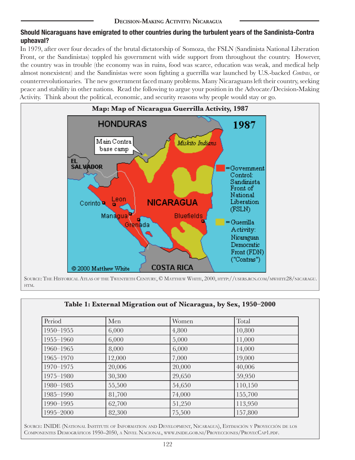#### **Should Nicaraguans have emigrated to other countries during the turbulent years of the Sandinista-Contra upheaval?**

In 1979, after over four decades of the brutal dictatorship of Somoza, the FSLN (Sandinista National Liberation Front, or the Sandinistas) toppled his government with wide support from throughout the country. However, the country was in trouble (the economy was in ruins, food was scarce, education was weak, and medical help almost nonexistent) and the Sandinistas were soon fighting a guerrilla war launched by U.S.-backed *Contras*, or counterrevolutionaries. The new government faced many problems. Many Nicaraguans left their country, seeking peace and stability in other nations. Read the following to argue your position in the Advocate/Decision-Making Activity. Think about the political, economic, and security reasons why people would stay or go.



SOURCE: THE HISTORICAL ATLAS OF THE TWENTIETH CENTURY, © MATTHEW WHITE, 2000, HTTP://USERS.RCN.COM/MWHITE28/NICARAGU. HTM.

|               |        | Table 1: External Migration out of Nicaragua, by Sex, 1950-2000 |         |
|---------------|--------|-----------------------------------------------------------------|---------|
| Period        | Men    | Women                                                           | Total   |
| 1950-1955     | 6,000  | 4,800                                                           | 10,800  |
| 1955-1960     | 6,000  | 5,000                                                           | 11,000  |
| 1960-1965     | 8,000  | 6,000                                                           | 14,000  |
| 1965-1970     | 12,000 | 7,000                                                           | 19,000  |
| $1970 - 1975$ | 20,006 | 20,000                                                          | 40,006  |
| 1975-1980     | 30,300 | 29,650                                                          | 59,950  |
| 1980-1985     | 55,500 | 54,650                                                          | 110,150 |
| 1985-1990     | 81,700 | 74,000                                                          | 155,700 |
| 1990-1995     | 62,700 | 51,250                                                          | 113,950 |
| 1995-2000     | 82,300 | 75,500                                                          | 157,800 |

SOURCE: INIDE (NATIONAL INSTITUTE OF INFORMATION AND DEVELOPMENT, NICARAGUA), ESTIMACIÓN Y PROYECCIÓN DE LOS COMPONENTES DEMOGRÁFICOS 1950–2050, A NIVEL NACIONAL, WWW.INIDE.GOB.NI/PROYECCIONES/PROYECCAP1.PDF.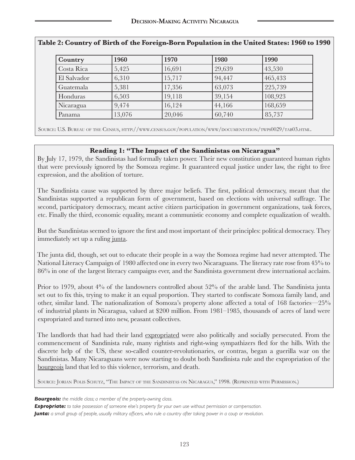| Country     | 1960   | 1970   | 1980   | 1990    |
|-------------|--------|--------|--------|---------|
| Costa Rica  | 5,425  | 16,691 | 29,639 | 43,530  |
| El Salvador | 6,310  | 15,717 | 94,447 | 465,433 |
| Guatemala   | 5,381  | 17,356 | 63,073 | 225,739 |
| Honduras    | 6,503  | 19,118 | 39,154 | 108,923 |
| Nicaragua   | 9,474  | 16,124 | 44,166 | 168,659 |
| Panama      | 13,076 | 20,046 | 60,740 | 85,737  |

#### **Table 2: Country of Birth of the Foreign-Born Population in the United States: 1960 to 1990**

SOURCE: U.S. BUREAU OF THE CENSUS, HTTP://WWW.CENSUS.GOV/POPULATION/WWW/DOCUMENTATION/TWPS0029/TAB03.HTML.

#### **Reading 1: "The Impact of the Sandinistas on Nicaragua"**

By July 17, 1979, the Sandinistas had formally taken power. Their new constitution guaranteed human rights that were previously ignored by the Somoza regime. It guaranteed equal justice under law, the right to free expression, and the abolition of torture.

The Sandinista cause was supported by three major beliefs. The first, political democracy, meant that the Sandinistas supported a republican form of government, based on elections with universal suffrage. The second, participatory democracy, meant active citizen participation in government organizations, task forces, etc. Finally the third, economic equality, meant a communistic economy and complete equalization of wealth.

But the Sandinistas seemed to ignore the first and most important of their principles: political democracy. They immediately set up a ruling junta.

The junta did, though, set out to educate their people in a way the Somoza regime had never attempted. The National Literacy Campaign of 1980 affected one in every two Nicaraguans. The literacy rate rose from 45% to 86% in one of the largest literacy campaigns ever, and the Sandinista government drew international acclaim.

Prior to 1979, about 4% of the landowners controlled about 52% of the arable land. The Sandinista junta set out to fix this, trying to make it an equal proportion. They started to confiscate Somoza family land, and other, similar land. The nationalization of Somoza's property alone affected a total of 168 factories—25% of industrial plants in Nicaragua, valued at \$200 million. From 1981–1985, thousands of acres of land were expropriated and turned into new, peasant collectives.

The landlords that had had their land expropriated were also politically and socially persecuted. From the commencement of Sandinista rule, many rightists and right-wing sympathizers fled for the hills. With the discrete help of the US, these so-called counter-revolutionaries, or contras, began a guerilla war on the Sandinistas. Many Nicaraguans were now starting to doubt both Sandinista rule and the expropriation of the bourgeois land that led to this violence, terrorism, and death.

SOURCE: JORIAN POLIS SCHUTZ, "THE IMPACT OF THE SANDINISTAS ON NICARAGUA," 1998. (REPRINTED WITH PERMISSION.)

*Bourgeois: the middle class; a member of the property-owning class.*

*Expropriate: to take possession of someone else's property for your own use without permission or compensation.*

*Junta:* a small group of people, usually military officers, who rule a country after taking power in a coup or revolution.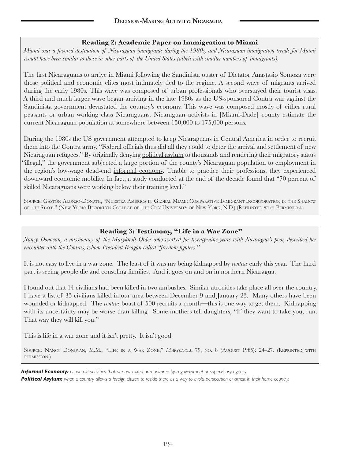#### **Reading 2: Academic Paper on Immigration to Miami**

*Miami was a favored destination of Nicaraguan immigrants during the 1980s, and Nicaraguan immigration trends for Miami would have been similar to those in other parts of the United States (albeit with smaller numbers of immigrants).*

The first Nicaraguans to arrive in Miami following the Sandinista ouster of Dictator Anastasio Somoza were those political and economic elites most intimately tied to the regime. A second wave of migrants arrived during the early 1980s. This wave was composed of urban professionals who overstayed their tourist visas. A third and much larger wave began arriving in the late 1980s as the US-sponsored Contra war against the Sandinista government devastated the country's economy. This wave was composed mostly of either rural peasants or urban working class Nicaraguans. Nicaraguan activists in [Miami-Dade] county estimate the current Nicaraguan population at somewhere between 150,000 to 175,000 persons.

During the 1980s the US government attempted to keep Nicaraguans in Central America in order to recruit them into the Contra army. "Federal officials thus did all they could to deter the arrival and settlement of new Nicaraguan refugees." By originally denying political asylum to thousands and rendering their migratory status 'illegal," the government subjected a large portion of the county's Nicaraguan population to employment in the region's low-wage dead-end informal economy. Unable to practice their professions, they experienced downward economic mobility. In fact, a study conducted at the end of the decade found that "70 percent of skilled Nicaraguans were working below their training level."

SOURCE: GASTÓN ALONSO-DONATE, "NUESTRA AMÉRICA IN GLOBAL MIAMI: COMPARATIVE IMMIGRANT INCORPORATION IN THE SHADOW OF THE STATE." (NEW YORK: BROOKLYN COLLEGE OF THE CITY UNIVERSITY OF NEW YORK, N.D.) (REPRINTED WITH PERMISSION.)

#### **Reading 3: Testimony, "Life in a War Zone"**

*Nancy Donovan, a missionary of the Maryknoll Order who worked for twenty-nine years with Nicaragua's poor, described her encounter with the Contras, whom President Reagan called "freedom fighters."* 

It is not easy to live in a war zone. The least of it was my being kidnapped by *contras* early this year. The hard part is seeing people die and consoling families. And it goes on and on in northern Nicaragua.

I found out that 14 civilians had been killed in two ambushes. Similar atrocities take place all over the country. I have a list of 35 civilians killed in our area between December 9 and January 23. Many others have been wounded or kidnapped. The *contras* boast of 500 recruits a month—this is one way to get them. Kidnapping with its uncertainty may be worse than killing. Some mothers tell daughters, "If they want to take you, run. That way they will kill you."

This is life in a war zone and it isn't pretty. It isn't good.

SOURCE: NANCY DONOVAN, M.M., "LIFE IN A WAR ZONE," *MARYKNOLL* 79, NO. 8 (AUGUST 1985): 24–27. (REPRINTED WITH PERMISSION.)

*Informal Economy: economic activities that are not taxed or monitored by a government or supervisory agency.*

*Political Asylum: when a country allows a foreign citizen to reside there as a way to avoid persecution or arrest in their home country.*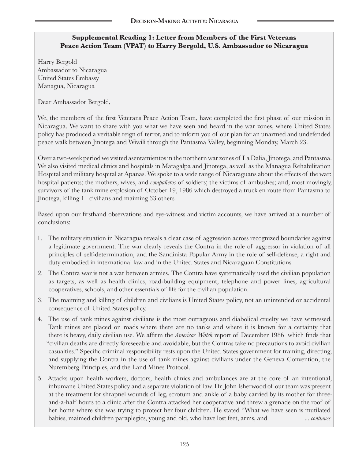#### **Supplemental Reading 1: Letter from Members of the First Veterans Peace Action Team (VPAT) to Harry Bergold, U.S. Ambassador to Nicaragua**

Harry Bergold Ambassador to Nicaragua United States Embassy Managua, Nicaragua

Dear Ambassador Bergold,

We, the members of the first Veterans Peace Action Team, have completed the first phase of our mission in Nicaragua. We want to share with you what we have seen and heard in the war zones, where United States policy has produced a veritable reign of terror, and to inform you of our plan for an unarmed and undefended peace walk between Jinotega and Wiwili through the Pantasma Valley, beginning Monday, March 23.

Over a two-week period we visited asentamientos in the northern war zones of La Dalia, Jinotega, and Pantasma. We also visited medical clinics and hospitals in Matagalpa and Jinotega, as well as the Managua Rehabilitation Hospital and military hospital at Apanas. We spoke to a wide range of Nicaraguans about the effects of the war: hospital patients; the mothers, wives, and *compañeros* of soldiers; the victims of ambushes; and, most movingly, survivors of the tank mine explosion of October 19, 1986 which destroyed a truck en route from Pantasma to Jinotega, killing 11 civilians and maiming 33 others.

Based upon our firsthand observations and eye-witness and victim accounts, we have arrived at a number of conclusions:

- 1. The military situation in Nicaragua reveals a clear case of aggression across recognized boundaries against a legitimate government. The war clearly reveals the Contra in the role of aggressor in violation of all principles of self-determination, and the Sandinista Popular Army in the role of self-defense, a right and duty embodied in international law and in the United States and Nicaraguan Constitutions.
- 2. The Contra war is not a war between armies. The Contra have systematically used the civilian population as targets, as well as health clinics, road-building equipment, telephone and power lines, agricultural cooperatives, schools, and other essentials of life for the civilian population.
- 3. The maiming and killing of children and civilians is United States policy, not an unintended or accidental consequence of United States policy.
- 4. The use of tank mines against civilians is the most outrageous and diabolical cruelty we have witnessed. Tank mines are placed on roads where there are no tanks and where it is known for a certainty that there is heavy, daily civilian use. We affirm the *Americas Watch* report of December 1986 which finds that "civilian deaths are directly foreseeable and avoidable, but the Contras take no precautions to avoid civilian casualties." Specific criminal responsibility rests upon the United States government for training, directing, and supplying the Contra in the use of tank mines against civilians under the Geneva Convention, the Nuremberg Principles, and the Land Mines Protocol.
- 5. Attacks upon health workers, doctors, health clinics and ambulances are at the core of an intentional, inhumane United States policy and a separate violation of law. Dr. John Isherwood of our team was present at the treatment for shrapnel wounds of leg, scrotum and ankle of a baby carried by its mother for threeand-a-half hours to a clinic after the Contra attacked her cooperative and threw a grenade on the roof of her home where she was trying to protect her four children. He stated "What we have seen is mutilated babies, maimed children paraplegics, young and old, who have lost feet, arms, and *... continues*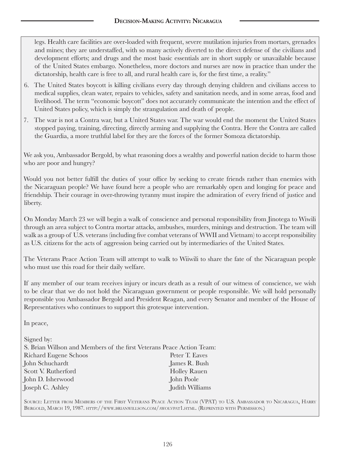legs. Health care facilities are over-loaded with frequent, severe mutilation injuries from mortars, grenades and mines; they are understaffed, with so many actively diverted to the direct defense of the civilians and development efforts; and drugs and the most basic essentials are in short supply or unavailable because of the United States embargo. Nonetheless, more doctors and nurses are now in practice than under the dictatorship, health care is free to all, and rural health care is, for the first time, a reality."

- 6. The United States boycott is killing civilians every day through denying children and civilians access to medical supplies, clean water, repairs to vehicles, safety and sanitation needs, and in some areas, food and livelihood. The term "economic boycott" does not accurately communicate the intention and the effect of United States policy, which is simply the strangulation and death of people.
- 7. The war is not a Contra war, but a United States war. The war would end the moment the United States stopped paying, training, directing, directly arming and supplying the Contra. Here the Contra are called the Guardia, a more truthful label for they are the forces of the former Somoza dictatorship.

We ask you, Ambassador Bergold, by what reasoning does a wealthy and powerful nation decide to harm those who are poor and hungry?

Would you not better fulfill the duties of your office by seeking to create friends rather than enemies with the Nicaraguan people? We have found here a people who are remarkably open and longing for peace and friendship. Their courage in over-throwing tyranny must inspire the admiration of every friend of justice and liberty.

On Monday March 23 we will begin a walk of conscience and personal responsibility from Jinotega to Wiwili through an area subject to Contra mortar attacks, ambushes, murders, minings and destruction. The team will walk as a group of U.S. veterans (including five combat veterans of WWII and Vietnam) to accept responsibility as U.S. citizens for the acts of aggression being carried out by intermediaries of the United States.

The Veterans Peace Action Team will attempt to walk to Wiiwili to share the fate of the Nicaraguan people who must use this road for their daily welfare.

If any member of our team receives injury or incurs death as a result of our witness of conscience, we wish to be clear that we do not hold the Nicaraguan government or people responsible. We will hold personally responsible you Ambassador Bergold and President Reagan, and every Senator and member of the House of Representatives who continues to support this grotesque intervention.

In peace,

Signed by: S. Brian Willson and Members of the first Veterans Peace Action Team: Richard Eugene Schoos Peter T. Eaves John Schuchardt James R. Bush Scott V. Rutherford Holley Rauen John D. Isherwood John Poole Joseph C. Ashley Judith Williams

SOURCE: LETTER FROM MEMBERS OF THE FIRST VETERANS PEACE ACTION TEAM (VPAT) TO U.S. AMBASSADOR TO NICARAGUA, HARRY BERGOLD, MARCH 19, 1987. HTTP://WWW.BRIANWILLSON.COM/AWOLVPAT1.HTML. (REPRINTED WITH PERMISSION.)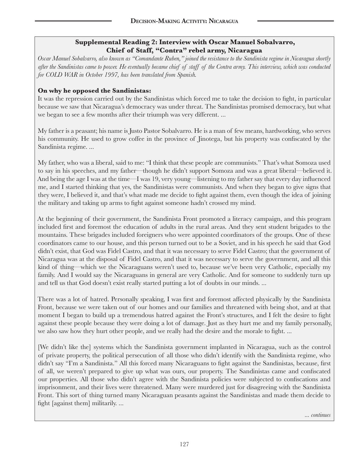#### **Supplemental Reading 2: Interview with Oscar Manuel Sobalvarro, Chief of Staff, "Contra" rebel army, Nicaragua**

*Oscar Manuel Sobalvarro, also known as "Comandante Ruben," joined the resistance to the Sandinista regime in Nicaragua shortly after the Sandinistas came to power. He eventually became chief of staff of the Contra army. This interview, which was conducted for COLD WAR in October 1997, has been translated from Spanish.*

#### **On why he opposed the Sandinistas:**

It was the repression carried out by the Sandinistas which forced me to take the decision to fight, in particular because we saw that Nicaragua's democracy was under threat. The Sandinistas promised democracy, but what we began to see a few months after their triumph was very different. ...

My father is a peasant; his name is Justo Pastor Sobalvarro. He is a man of few means, hardworking, who serves his community. He used to grow coffee in the province of Jinotega, but his property was confiscated by the Sandinista regime. ...

My father, who was a liberal, said to me: "I think that these people are communists." That's what Somoza used to say in his speeches, and my father—though he didn't support Somoza and was a great liberal—believed it. And being the age I was at the time—I was 19, very young—listening to my father say that every day influenced me, and I started thinking that yes, the Sandinistas were communists. And when they began to give signs that they were, I believed it, and that's what made me decide to fight against them, even though the idea of joining the military and taking up arms to fight against someone hadn't crossed my mind.

At the beginning of their government, the Sandinista Front promoted a literacy campaign, and this program included first and foremost the education of adults in the rural areas. And they sent student brigades to the mountains. These brigades included foreigners who were appointed coordinators of the groups. One of these coordinators came to our house, and this person turned out to be a Soviet, and in his speech he said that God didn't exist, that God was Fidel Castro, and that it was necessary to serve Fidel Castro; that the government of Nicaragua was at the disposal of Fidel Castro, and that it was necessary to serve the government, and all this kind of thing—which we the Nicaraguans weren't used to, because we've been very Catholic, especially my family. And I would say the Nicaraguans in general are very Catholic. And for someone to suddenly turn up and tell us that God doesn't exist really started putting a lot of doubts in our minds. ...

There was a lot of hatred. Personally speaking, I was first and foremost affected physically by the Sandinista Front, because we were taken out of our homes and our families and threatened with being shot, and at that moment I began to build up a tremendous hatred against the Front's structures, and I felt the desire to fight against these people because they were doing a lot of damage. Just as they hurt me and my family personally, we also saw how they hurt other people, and we really had the desire and the morale to fight. ...

[We didn't like the] systems which the Sandinista government implanted in Nicaragua, such as the control of private property, the political persecution of all those who didn't identify with the Sandinista regime, who didn't say "I'm a Sandinista." All this forced many Nicaraguans to fight against the Sandinistas, because, first of all, we weren't prepared to give up what was ours, our property. The Sandinistas came and confiscated our properties. All those who didn't agree with the Sandinista policies were subjected to confiscations and imprisonment, and their lives were threatened. Many were murdered just for disagreeing with the Sandinista Front. This sort of thing turned many Nicaraguan peasants against the Sandinistas and made them decide to fight [against them] militarily. ...

*... continues*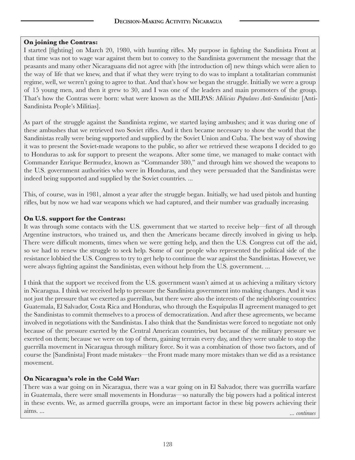#### **On joining the Contras:**

I started [fighting] on March 20, 1980, with hunting rifles. My purpose in fighting the Sandinista Front at that time was not to wage war against them but to convey to the Sandinista government the message that the peasants and many other Nicaraguans did not agree with [the introduction of] new things which were alien to the way of life that we knew, and that if what they were trying to do was to implant a totalitarian communist regime, well, we weren't going to agree to that. And that's how we began the struggle. Initially we were a group of 15 young men, and then it grew to 30, and I was one of the leaders and main promoters of the group. That's how the Contras were born: what were known as the MILPAS: *Milicias Populares Anti-Sandinistas* [Anti-Sandinista People's Militias].

As part of the struggle against the Sandinista regime, we started laying ambushes; and it was during one of these ambushes that we retrieved two Soviet rifles. And it then became necessary to show the world that the Sandinistas really were being supported and supplied by the Soviet Union and Cuba. The best way of showing it was to present the Soviet-made weapons to the public, so after we retrieved these weapons I decided to go to Honduras to ask for support to present the weapons. After some time, we managed to make contact with Commander Enrique Bermudez, known as "Commander 380," and through him we showed the weapons to the U.S. government authorities who were in Honduras, and they were persuaded that the Sandinistas were indeed being supported and supplied by the Soviet countries. ...

This, of course, was in 1981, almost a year after the struggle began. Initially, we had used pistols and hunting rifles, but by now we had war weapons which we had captured, and their number was gradually increasing.

#### **On U.S. support for the Contras:**

It was through some contacts with the U.S. government that we started to receive help—first of all through Argentine instructors, who trained us, and then the Americans became directly involved in giving us help. There were difficult moments, times when we were getting help, and then the U.S. Congress cut off the aid, so we had to renew the struggle to seek help. Some of our people who represented the political side of the resistance lobbied the U.S. Congress to try to get help to continue the war against the Sandinistas. However, we were always fighting against the Sandinistas, even without help from the U.S. government. ...

I think that the support we received from the U.S. government wasn't aimed at us achieving a military victory in Nicaragua. I think we received help to pressure the Sandinista government into making changes. And it was not just the pressure that we exerted as guerrillas, but there were also the interests of the neighboring countries: Guatemala, El Salvador, Costa Rica and Honduras, who through the Esquipulas II agreement managed to get the Sandinistas to commit themselves to a process of democratization. And after these agreements, we became involved in negotiations with the Sandinistas. I also think that the Sandinistas were forced to negotiate not only because of the pressure exerted by the Central American countries, but because of the military pressure we exerted on them; because we were on top of them, gaining terrain every day, and they were unable to stop the guerrilla movement in Nicaragua through military force. So it was a combination of those two factors, and of course the [Sandinista] Front made mistakes—the Front made many more mistakes than we did as a resistance movement.

#### **On Nicaragua's role in the Cold War:**

There was a war going on in Nicaragua, there was a war going on in El Salvador, there was guerrilla warfare in Guatemala, there were small movements in Honduras—so naturally the big powers had a political interest in these events. We, as armed guerrilla groups, were an important factor in these big powers achieving their aims. ... *... continues*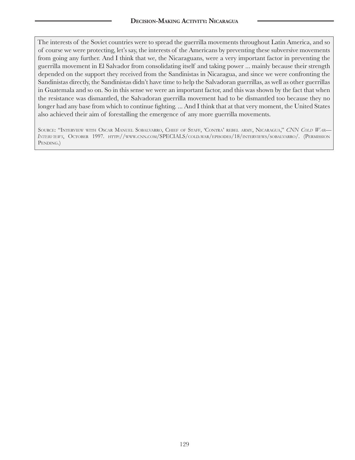The interests of the Soviet countries were to spread the guerrilla movements throughout Latin America, and so of course we were protecting, let's say, the interests of the Americans by preventing these subversive movements from going any further. And I think that we, the Nicaraguans, were a very important factor in preventing the guerrilla movement in El Salvador from consolidating itself and taking power ... mainly because their strength depended on the support they received from the Sandinistas in Nicaragua, and since we were confronting the Sandinistas directly, the Sandinistas didn't have time to help the Salvadoran guerrillas, as well as other guerrillas in Guatemala and so on. So in this sense we were an important factor, and this was shown by the fact that when the resistance was dismantled, the Salvadoran guerrilla movement had to be dismantled too because they no longer had any base from which to continue fighting. ... And I think that at that very moment, the United States also achieved their aim of forestalling the emergence of any more guerrilla movements.

SOURCE: "INTERVIEW WITH OSCAR MANUEL SOBALVARRO, CHIEF OF STAFF, 'CONTRA' REBEL ARMY, NICARAGUA," *CNN COLD WAR— INTERVIEWS*, OCTOBER 1997. HTTP://WWW.CNN.COM/SPECIALS/COLD.WAR/EPISODES/18/INTERVIEWS/SOBALVARRO/. (PERMISSION PENDING.)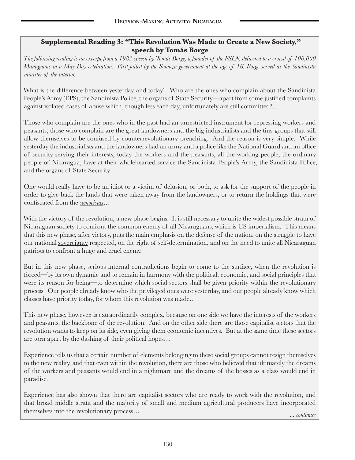#### **Supplemental Reading 3: "This Revolution Was Made to Create a New Society," speech by Tomás Borge**

*The following reading is an excerpt from a 1982 speech by Tomás Borge, a founder of the FSLN, delivered to a crowd of 100,000 Managuans in a May Day celebration. First jailed by the Somoza government at the age of 16, Borge served as the Sandinista minister of the interior.*

What is the difference between yesterday and today? Who are the ones who complain about the Sandinista People's Army (EPS), the Sandinista Police, the organs of State Security—apart from some justified complaints against isolated cases of abuse which, though less each day, unfortunately are still committed?…

Those who complain are the ones who in the past had an unrestricted instrument for repressing workers and peasants; those who complain are the great landowners and the big industrialists and the tiny groups that still allow themselves to be confused by counterrevolutionary preaching. And the reason is very simple. While yesterday the industrialists and the landowners had an army and a police like the National Guard and an office of security serving their interests, today the workers and the peasants, all the working people, the ordinary people of Nicaragua, have at their wholehearted service the Sandinista People's Army, the Sandinista Police, and the organs of State Security.

One would really have to be an idiot or a victim of delusion, or both, to ask for the support of the people in order to give back the lands that were taken away from the landowners, or to return the holdings that were confiscated from the *somocistas*...

With the victory of the revolution, a new phase begins. It is still necessary to unite the widest possible strata of Nicaraguan society to confront the common enemy of all Nicaraguans, which is US imperialism. This means that this new phase, after victory, puts the main emphasis on the defense of the nation, on the struggle to have our national sovereignty respected, on the right of self-determination, and on the need to unite all Nicaraguan patriots to confront a huge and cruel enemy.

But in this new phase, serious internal contradictions begin to come to the surface, when the revolution is forced—by its own dynamic and to remain in harmony with the political, economic, and social principles that were its reason for being—to determine which social sectors shall be given priority within the revolutionary process. Our people already know who the privileged ones were yesterday, and our people already know which classes have priority today, for whom this revolution was made…

This new phase, however, is extraordinarily complex, because on one side we have the interests of the workers and peasants, the backbone of the revolution. And on the other side there are those capitalist sectors that the revolution wants to keep on its side, even giving them economic incentives. But at the same time these sectors are torn apart by the dashing of their political hopes…

Experience tells us that a certain number of elements belonging to these social groups cannot resign themselves to the new reality, and that even within the revolution, there are those who believed that ultimately the dreams of the workers and peasants would end in a nightmare and the dreams of the bosses as a class would end in paradise.

Experience has also shown that there are capitalist sectors who are ready to work with the revolution, and that broad middle strata and the majority of small and medium agricultural producers have incorporated themselves into the revolutionary process…

*... continues*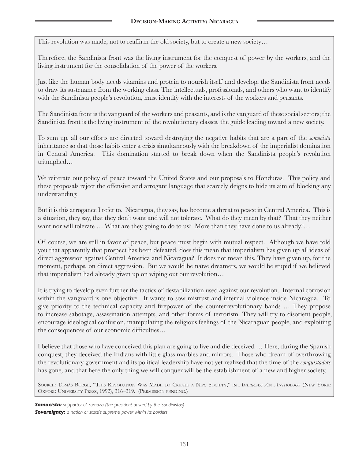This revolution was made, not to reaffirm the old society, but to create a new society...

Therefore, the Sandinista front was the living instrument for the conquest of power by the workers, and the living instrument for the consolidation of the power of the workers.

Just like the human body needs vitamins and protein to nourish itself and develop, the Sandinista front needs to draw its sustenance from the working class. The intellectuals, professionals, and others who want to identify with the Sandinista people's revolution, must identify with the interests of the workers and peasants.

The Sandinista front is the vanguard of the workers and peasants, and is the vanguard of these social sectors; the Sandinista front is the living instrument of the revolutionary classes, the guide leading toward a new society.

To sum up, all our efforts are directed toward destroying the negative habits that are a part of the *somocista* inheritance so that those habits enter a crisis simultaneously with the breakdown of the imperialist domination in Central America. This domination started to break down when the Sandinista people's revolution triumphed…

We reiterate our policy of peace toward the United States and our proposals to Honduras. This policy and these proposals reject the offensive and arrogant language that scarcely deigns to hide its aim of blocking any understanding.

But it is this arrogance I refer to. Nicaragua, they say, has become a threat to peace in Central America. This is a situation, they say, that they don't want and will not tolerate. What do they mean by that? That they neither want nor will tolerate ... What are they going to do to us? More than they have done to us already?...

Of course, we are still in favor of peace, but peace must begin with mutual respect. Although we have told you that apparently that prospect has been defeated, does this mean that imperialism has given up all ideas of direct aggression against Central America and Nicaragua? It does not mean this. They have given up, for the moment, perhaps, on direct aggression. But we would be naïve dreamers, we would be stupid if we believed that imperialism had already given up on wiping out our revolution…

It is trying to develop even further the tactics of destabilization used against our revolution. Internal corrosion within the vanguard is one objective. It wants to sow mistrust and internal violence inside Nicaragua. To give priority to the technical capacity and firepower of the counterrevolutionary bands ... They propose to increase sabotage, assassination attempts, and other forms of terrorism. They will try to disorient people, encourage ideological confusion, manipulating the religious feelings of the Nicaraguan people, and exploiting the consequences of our economic difficulties...

I believe that those who have conceived this plan are going to live and die deceived … Here, during the Spanish conquest, they deceived the Indians with little glass marbles and mirrors. Those who dream of overthrowing the revolutionary government and its political leadership have not yet realized that the time of the *conquistadors* has gone, and that here the only thing we will conquer will be the establishment of a new and higher society.

SOURCE: TOMÁS BORGE, "THIS REVOLUTION WAS MADE TO CREATE A NEW SOCIETY," IN *AMERICAS: AN ANTHOLOGY* (NEW YORK: OXFORD UNIVERSITY PRESS, 1992), 316–319. (PERMISSION PENDING.)

*Somocista: supporter of Somoza (the president ousted by the Sandinistas). Sovereignty: a nation or state's supreme power within its borders.*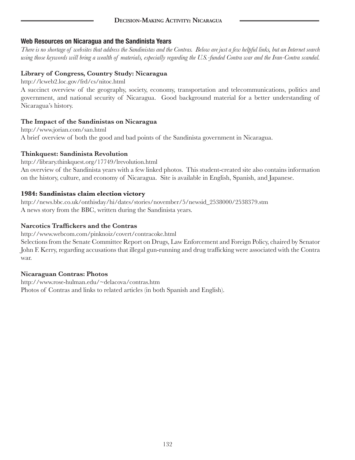#### **Web Resources on Nicaragua and the Sandinista Years**

*There is no shortage of websites that address the Sandinistas and the Contras. Below are just a few helpful links, but an Internet search using those keywords will bring a wealth of materials, especially regarding the U.S.-funded Contra war and the Iran-Contra scandal.*

#### **Library of Congress, Country Study: Nicaragua**

http://lcweb2.loc.gov/frd/cs/nitoc.html

A succinct overview of the geography, society, economy, transportation and telecommunications, politics and government, and national security of Nicaragua. Good background material for a better understanding of Nicaragua's history.

#### **The Impact of the Sandinistas on Nicaragua**

http://www.jorian.com/san.html A brief overview of both the good and bad points of the Sandinista government in Nicaragua.

#### **Thinkquest: Sandinista Revolution**

http://library.thinkquest.org/17749/lrevolution.html An overview of the Sandinista years with a few linked photos. This student-created site also contains information on the history, culture, and economy of Nicaragua. Site is available in English, Spanish, and Japanese.

#### **1984: Sandinistas claim election victory**

http://news.bbc.co.uk/onthisday/hi/dates/stories/november/5/newsid\_2538000/2538379.stm A news story from the BBC, written during the Sandinista years.

#### **Narcotics Traffickers and the Contras**

http://www.webcom.com/pinknoiz/covert/contracoke.html Selections from the Senate Committee Report on Drugs, Law Enforcement and Foreign Policy, chaired by Senator John F. Kerry, regarding accusations that illegal gun-running and drug trafficking were associated with the Contra war.

#### **Nicaraguan Contras: Photos**

http://www.rose-hulman.edu/~delacova/contras.htm Photos of Contras and links to related articles (in both Spanish and English).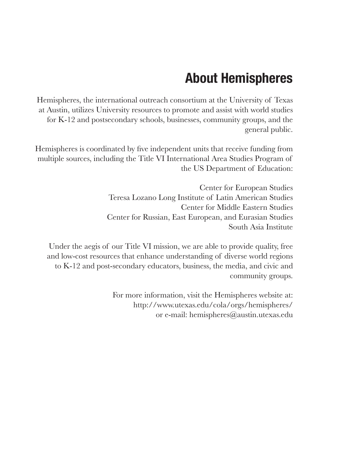## **About Hemispheres**

Hemispheres, the international outreach consortium at the University of Texas at Austin, utilizes University resources to promote and assist with world studies for K-12 and postsecondary schools, businesses, community groups, and the general public.

Hemispheres is coordinated by five independent units that receive funding from multiple sources, including the Title VI International Area Studies Program of the US Department of Education:

> Center for European Studies Teresa Lozano Long Institute of Latin American Studies Center for Middle Eastern Studies Center for Russian, East European, and Eurasian Studies South Asia Institute

Under the aegis of our Title VI mission, we are able to provide quality, free and low-cost resources that enhance understanding of diverse world regions to K-12 and post-secondary educators, business, the media, and civic and community groups.

> For more information, visit the Hemispheres website at: http://www.utexas.edu/cola/orgs/hemispheres/ or e-mail: hemispheres@austin.utexas.edu